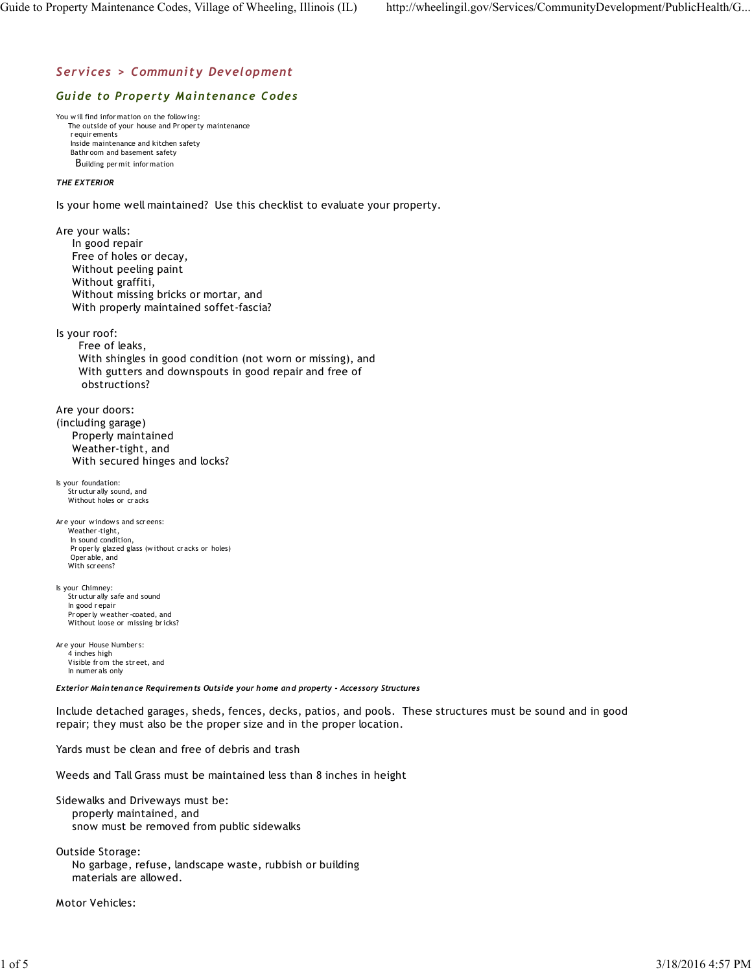# *Services > Community Development*

## *Guide to Property Maintenance Codes*

You will find infor mation on the following: The outside of your house and Pr oper ty maintenance r equir ements Inside maintenance and kitchen safety Bathr oom and basement safety Building per mit infor mation

## *THE EXTERIOR*

Is your home well maintained? Use this checklist to evaluate your property.

Are your walls: In good repair Free of holes or decay, Without peeling paint Without graffiti, Without missing bricks or mortar, and With properly maintained soffet-fascia? Is your roof: Free of leaks, With shingles in good condition (not worn or missing), and With gutters and downspouts in good repair and free of obstructions? Are your doors: (including garage) Properly maintained Weather-tight, and With secured hinges and locks? Is your foundation: Str uctur ally sound, and Without holes or cracks Ar e your windows and scr eens: Weather -tight, In sound condition, Pr oper ly glazed glass (without cr acks or holes) Oper able, and With scr eens? Is your Chimney: Str uctur ally safe and sound In good r epair Pr oper ly weather -coated, and Without loose or missing br icks? Ar e your House Number s: 4 inches high Visible fr om the str eet, and In numer als only *Exterior Maintenance Requirements Outside your home and property - Accessory Structures*

Include detached garages, sheds, fences, decks, patios, and pools. These structures must be sound and in good repair; they must also be the proper size and in the proper location.

Yards must be clean and free of debris and trash

Weeds and Tall Grass must be maintained less than 8 inches in height

Sidewalks and Driveways must be: properly maintained, and snow must be removed from public sidewalks

Outside Storage: No garbage, refuse, landscape waste, rubbish or building materials are allowed.

Motor Vehicles: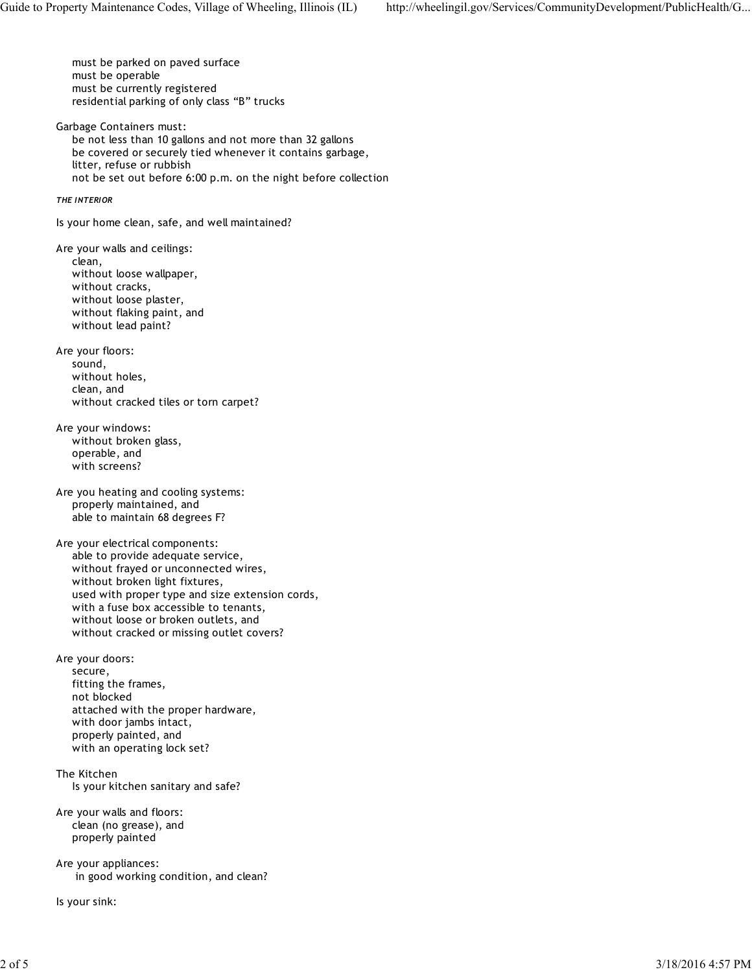must be parked on paved surface must be operable must be currently registered residential parking of only class "B" trucks Garbage Containers must: be not less than 10 gallons and not more than 32 gallons be covered or securely tied whenever it contains garbage, litter, refuse or rubbish not be set out before 6:00 p.m. on the night before collection *THE INTERIOR* Is your home clean, safe, and well maintained? Are your walls and ceilings: clean, without loose wallpaper, without cracks, without loose plaster, without flaking paint, and without lead paint? Are your floors: sound, without holes, clean, and without cracked tiles or torn carpet? Are your windows: without broken glass, operable, and with screens? Are you heating and cooling systems: properly maintained, and able to maintain 68 degrees F? Are your electrical components: able to provide adequate service, without frayed or unconnected wires, without broken light fixtures, used with proper type and size extension cords, with a fuse box accessible to tenants, without loose or broken outlets, and without cracked or missing outlet covers? Are your doors: secure, fitting the frames, not blocked attached with the proper hardware, with door jambs intact, properly painted, and with an operating lock set? The Kitchen Is your kitchen sanitary and safe? Are your walls and floors: clean (no grease), and properly painted Are your appliances: in good working condition, and clean?

Is your sink: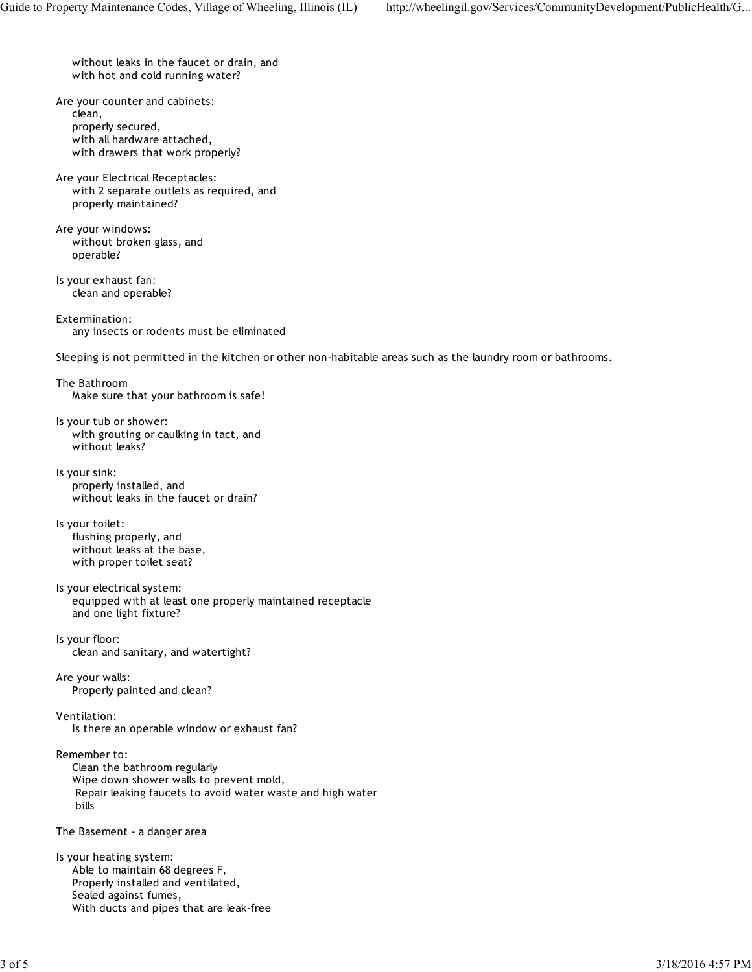without leaks in the faucet or drain, and with hot and cold running water?

Are your counter and cabinets: clean, properly secured, with all hardware attached, with drawers that work properly?

Are your Electrical Receptacles: with 2 separate outlets as required, and properly maintained?

Are your windows: without broken glass, and operable?

Is your exhaust fan: clean and operable?

Extermination: any insects or rodents must be eliminated

Sleeping is not permitted in the kitchen or other non-habitable areas such as the laundry room or bathrooms.

The Bathroom Make sure that your bathroom is safe!

Is your tub or shower: with grouting or caulking in tact, and without leaks?

Is your sink: properly installed, and without leaks in the faucet or drain?

Is your toilet: flushing properly, and without leaks at the base, with proper toilet seat?

### Is your electrical system: equipped with at least one properly maintained receptacle and one light fixture?

Is your floor: clean and sanitary, and watertight?

Are your walls: Properly painted and clean?

Ventilation:

Is there an operable window or exhaust fan?

Remember to:

 Clean the bathroom regularly Wipe down shower walls to prevent mold, Repair leaking faucets to avoid water waste and high water bills

The Basement - a danger area

Is your heating system: Able to maintain 68 degrees F, Properly installed and ventilated, Sealed against fumes, With ducts and pipes that are leak-free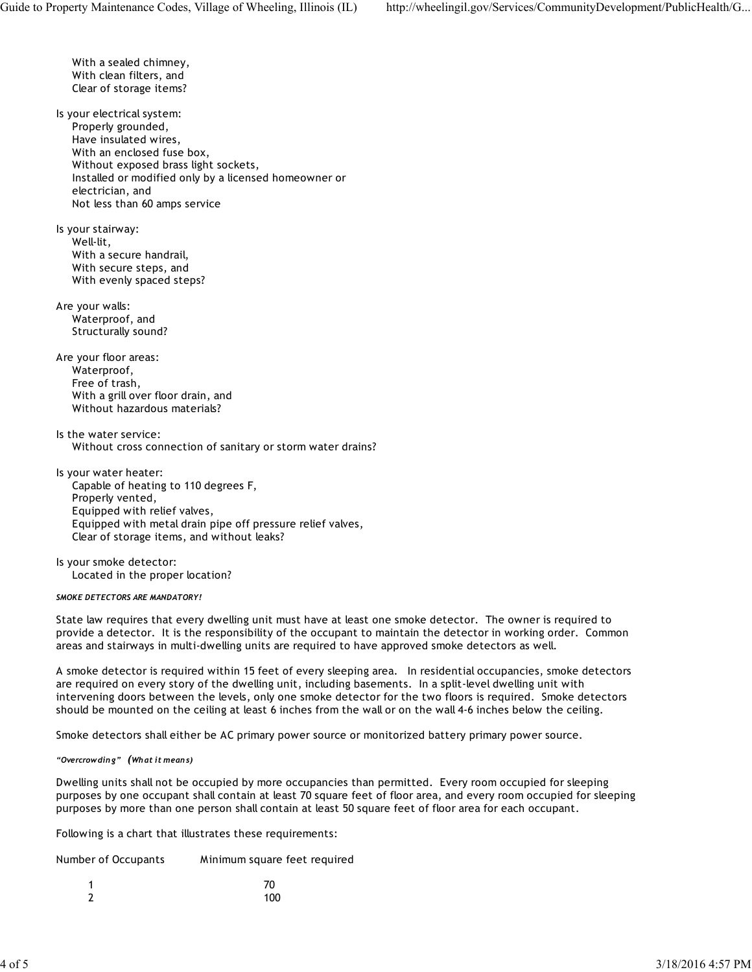With a sealed chimney, With clean filters, and Clear of storage items? Is your electrical system: Properly grounded, Have insulated wires, With an enclosed fuse box, Without exposed brass light sockets, Installed or modified only by a licensed homeowner or electrician, and Not less than 60 amps service Is your stairway: Well-lit, With a secure handrail, With secure steps, and With evenly spaced steps? Are your walls: Waterproof, and Structurally sound? Are your floor areas: Waterproof, Free of trash, With a grill over floor drain, and Without hazardous materials?

Is the water service: Without cross connection of sanitary or storm water drains?

Is your water heater: Capable of heating to 110 degrees F, Properly vented, Equipped with relief valves, Equipped with metal drain pipe off pressure relief valves, Clear of storage items, and without leaks?

Is your smoke detector: Located in the proper location?

#### *SMOKE DETECTORS ARE MANDATORY!*

State law requires that every dwelling unit must have at least one smoke detector. The owner is required to provide a detector. It is the responsibility of the occupant to maintain the detector in working order. Common areas and stairways in multi-dwelling units are required to have approved smoke detectors as well.

A smoke detector is required within 15 feet of every sleeping area. In residential occupancies, smoke detectors are required on every story of the dwelling unit, including basements. In a split-level dwelling unit with intervening doors between the levels, only one smoke detector for the two floors is required. Smoke detectors should be mounted on the ceiling at least 6 inches from the wall or on the wall 4-6 inches below the ceiling.

Smoke detectors shall either be AC primary power source or monitorized battery primary power source.

#### *"Overcrowding" (What it means)*

Dwelling units shall not be occupied by more occupancies than permitted. Every room occupied for sleeping purposes by one occupant shall contain at least 70 square feet of floor area, and every room occupied for sleeping purposes by more than one person shall contain at least 50 square feet of floor area for each occupant.

Following is a chart that illustrates these requirements:

| Minimum square feet required<br>Number of Occupants |
|-----------------------------------------------------|
|-----------------------------------------------------|

|   | 70  |
|---|-----|
| 7 | 100 |